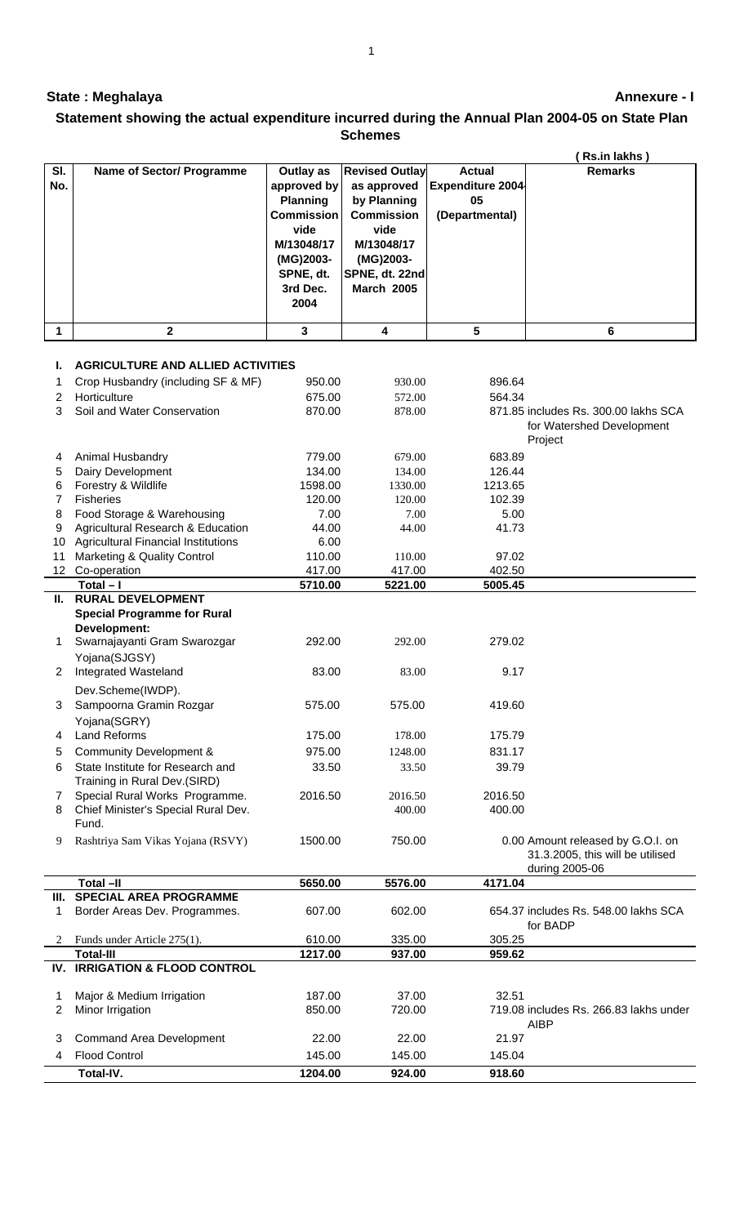## **State : Meghalaya**

## **Annexure - I**

## **Statement showing the actual expenditure incurred during the Annual Plan 2004-05 on State Plan Schemes**

|              |                                              |                   |                       |                         | Rs.in lakhs)                                       |
|--------------|----------------------------------------------|-------------------|-----------------------|-------------------------|----------------------------------------------------|
| SI.          | <b>Name of Sector/ Programme</b>             | Outlay as         | <b>Revised Outlay</b> | <b>Actual</b>           | <b>Remarks</b>                                     |
| No.          |                                              | approved by       | as approved           | <b>Expenditure 2004</b> |                                                    |
|              |                                              | <b>Planning</b>   | by Planning           | 05                      |                                                    |
|              |                                              | <b>Commission</b> | <b>Commission</b>     | (Departmental)          |                                                    |
|              |                                              | vide              | vide                  |                         |                                                    |
|              |                                              | M/13048/17        | M/13048/17            |                         |                                                    |
|              |                                              | (MG)2003-         | (MG)2003-             |                         |                                                    |
|              |                                              | SPNE, dt.         | SPNE, dt. 22nd        |                         |                                                    |
|              |                                              | 3rd Dec.          | <b>March 2005</b>     |                         |                                                    |
|              |                                              | 2004              |                       |                         |                                                    |
|              |                                              |                   |                       |                         |                                                    |
| $\mathbf{1}$ | $\overline{2}$                               | 3                 | $\overline{4}$        | $5\phantom{a}$          | 6                                                  |
|              |                                              |                   |                       |                         |                                                    |
| ı.           | <b>AGRICULTURE AND ALLIED ACTIVITIES</b>     |                   |                       |                         |                                                    |
| 1            | Crop Husbandry (including SF & MF)           | 950.00            | 930.00                | 896.64                  |                                                    |
| 2            | Horticulture                                 | 675.00            | 572.00                | 564.34                  |                                                    |
| 3            | Soil and Water Conservation                  | 870.00            | 878.00                |                         | 871.85 includes Rs. 300.00 lakhs SCA               |
|              |                                              |                   |                       |                         | for Watershed Development                          |
|              |                                              |                   |                       |                         | Project                                            |
| 4            | Animal Husbandry                             | 779.00            | 679.00                | 683.89                  |                                                    |
| 5            | Dairy Development                            | 134.00            | 134.00                | 126.44                  |                                                    |
| 6            | Forestry & Wildlife                          | 1598.00           | 1330.00               | 1213.65                 |                                                    |
| 7            | Fisheries                                    | 120.00            | 120.00                | 102.39                  |                                                    |
| 8            | Food Storage & Warehousing                   | 7.00              | 7.00                  | 5.00                    |                                                    |
| 9            | Agricultural Research & Education            | 44.00             | 44.00                 | 41.73                   |                                                    |
| 10           | <b>Agricultural Financial Institutions</b>   | 6.00              |                       |                         |                                                    |
| 11           | Marketing & Quality Control                  | 110.00            | 110.00                | 97.02                   |                                                    |
|              | 12 Co-operation<br>$Total - I$               | 417.00            | 417.00                | 402.50                  |                                                    |
| Ш.           | <b>RURAL DEVELOPMENT</b>                     | 5710.00           | 5221.00               | 5005.45                 |                                                    |
|              | <b>Special Programme for Rural</b>           |                   |                       |                         |                                                    |
|              | Development:                                 |                   |                       |                         |                                                    |
| 1            | Swarnajayanti Gram Swarozgar                 | 292.00            | 292.00                | 279.02                  |                                                    |
|              | Yojana(SJGSY)                                |                   |                       |                         |                                                    |
| 2            | Integrated Wasteland                         | 83.00             | 83.00                 | 9.17                    |                                                    |
|              |                                              |                   |                       |                         |                                                    |
| 3            | Dev.Scheme(IWDP).<br>Sampoorna Gramin Rozgar | 575.00            | 575.00                | 419.60                  |                                                    |
|              |                                              |                   |                       |                         |                                                    |
|              | Yojana(SGRY)                                 |                   |                       |                         |                                                    |
| 4            | <b>Land Reforms</b>                          | 175.00            | 178.00                | 175.79                  |                                                    |
| 5            | Community Development &                      | 975.00            | 1248.00               | 831.17                  |                                                    |
| 6            | State Institute for Research and             | 33.50             | 33.50                 | 39.79                   |                                                    |
|              | Training in Rural Dev.(SIRD)                 |                   |                       |                         |                                                    |
| 7            | Special Rural Works Programme.               | 2016.50           | 2016.50               | 2016.50                 |                                                    |
| 8            | Chief Minister's Special Rural Dev.<br>Fund. |                   | 400.00                | 400.00                  |                                                    |
|              |                                              |                   |                       |                         |                                                    |
| 9            | Rashtriya Sam Vikas Yojana (RSVY)            | 1500.00           | 750.00                |                         | 0.00 Amount released by G.O.I. on                  |
|              |                                              |                   |                       |                         | 31.3.2005, this will be utilised<br>during 2005-06 |
|              | Total-II                                     | 5650.00           | 5576.00               | 4171.04                 |                                                    |
| Ш.           | <b>SPECIAL AREA PROGRAMME</b>                |                   |                       |                         |                                                    |
| 1            | Border Areas Dev. Programmes.                | 607.00            | 602.00                |                         | 654.37 includes Rs. 548.00 lakhs SCA               |
|              |                                              |                   |                       |                         | for BADP                                           |
| 2            | Funds under Article 275(1).                  | 610.00            | 335.00                | 305.25                  |                                                    |
|              | <b>Total-III</b>                             | 1217.00           | 937.00                | 959.62                  |                                                    |
|              | IV. IRRIGATION & FLOOD CONTROL               |                   |                       |                         |                                                    |
|              |                                              |                   |                       |                         |                                                    |
| 1            | Major & Medium Irrigation                    | 187.00            | 37.00                 | 32.51                   |                                                    |
| 2            | Minor Irrigation                             | 850.00            | 720.00                |                         | 719.08 includes Rs. 266.83 lakhs under             |
|              |                                              |                   |                       |                         | <b>AIBP</b>                                        |
| 3            | <b>Command Area Development</b>              | 22.00             | 22.00                 | 21.97                   |                                                    |
| 4            | <b>Flood Control</b>                         | 145.00            | 145.00                | 145.04                  |                                                    |
|              | Total-IV.                                    | 1204.00           | 924.00                | 918.60                  |                                                    |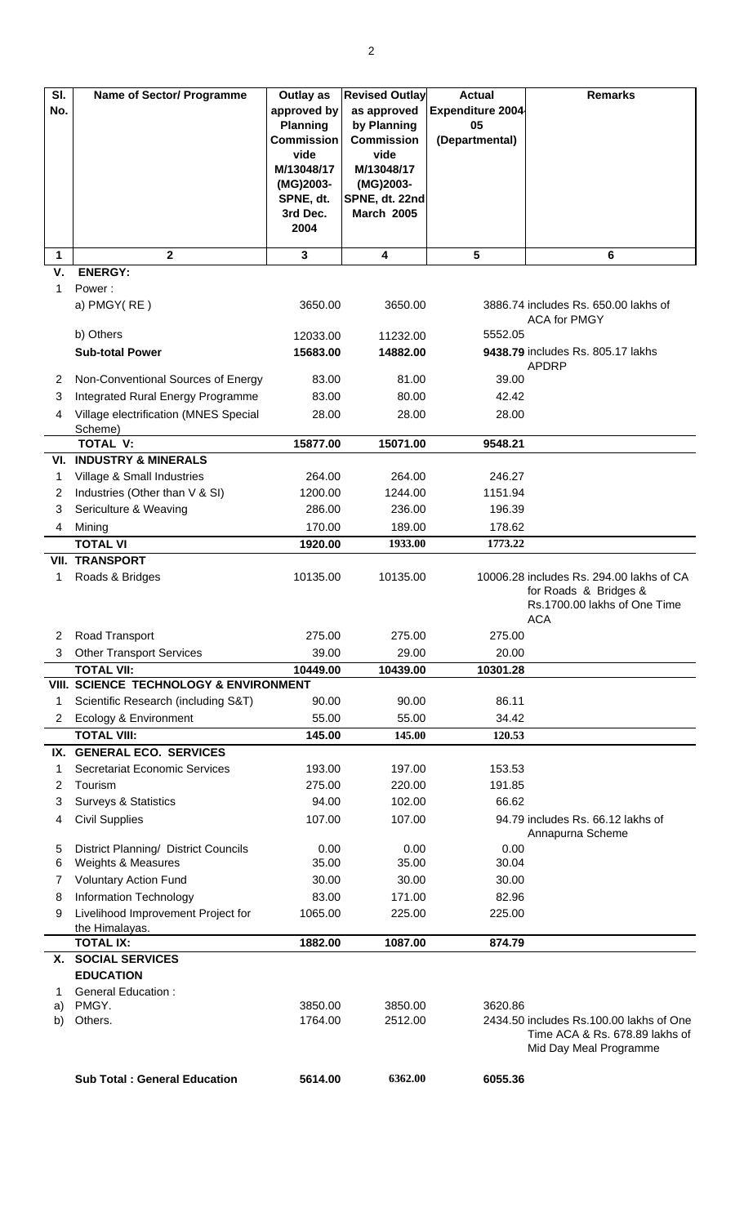| SI.     | <b>Name of Sector/ Programme</b>                           | Outlay as                            | <b>Revised Outlay</b>            | <b>Actual</b>           | <b>Remarks</b>                           |
|---------|------------------------------------------------------------|--------------------------------------|----------------------------------|-------------------------|------------------------------------------|
| No.     |                                                            | approved by                          | as approved                      | <b>Expenditure 2004</b> |                                          |
|         |                                                            | <b>Planning</b><br><b>Commission</b> | by Planning<br><b>Commission</b> | 05                      |                                          |
|         |                                                            | vide                                 | vide                             | (Departmental)          |                                          |
|         |                                                            | M/13048/17                           | M/13048/17                       |                         |                                          |
|         |                                                            | (MG)2003-                            | (MG)2003-                        |                         |                                          |
|         |                                                            | SPNE, dt.                            | SPNE, dt. 22nd                   |                         |                                          |
|         |                                                            | 3rd Dec.                             | <b>March 2005</b>                |                         |                                          |
|         |                                                            | 2004                                 |                                  |                         |                                          |
| 1       | $\mathbf{2}$                                               | 3                                    | 4                                | 5                       | 6                                        |
| v.      | <b>ENERGY:</b>                                             |                                      |                                  |                         |                                          |
| 1       | Power:                                                     |                                      |                                  |                         |                                          |
|         | a) PMGY(RE)                                                | 3650.00                              | 3650.00                          |                         | 3886.74 includes Rs. 650.00 lakhs of     |
|         |                                                            |                                      |                                  |                         | <b>ACA for PMGY</b>                      |
|         | b) Others                                                  | 12033.00                             | 11232.00                         | 5552.05                 | 9438.79 includes Rs. 805.17 lakhs        |
|         | <b>Sub-total Power</b>                                     | 15683.00                             | 14882.00                         |                         | <b>APDRP</b>                             |
| 2       | Non-Conventional Sources of Energy                         | 83.00                                | 81.00                            | 39.00                   |                                          |
| 3       | Integrated Rural Energy Programme                          | 83.00                                | 80.00                            | 42.42                   |                                          |
| 4       | Village electrification (MNES Special                      | 28.00                                | 28.00                            | 28.00                   |                                          |
|         | Scheme)                                                    |                                      |                                  |                         |                                          |
|         | <b>TOTAL V:</b>                                            | 15877.00                             | 15071.00                         | 9548.21                 |                                          |
|         | <b>VI. INDUSTRY &amp; MINERALS</b>                         |                                      |                                  |                         |                                          |
| 1       | Village & Small Industries                                 | 264.00                               | 264.00                           | 246.27                  |                                          |
| 2       | Industries (Other than V & SI)                             | 1200.00                              | 1244.00                          | 1151.94                 |                                          |
| 3       | Sericulture & Weaving                                      | 286.00                               | 236.00                           | 196.39                  |                                          |
| 4       | Mining                                                     | 170.00                               | 189.00                           | 178.62                  |                                          |
|         | <b>TOTAL VI</b><br><b>VII. TRANSPORT</b>                   | 1920.00                              | 1933.00                          | 1773.22                 |                                          |
| 1       | Roads & Bridges                                            | 10135.00                             | 10135.00                         |                         | 10006.28 includes Rs. 294.00 lakhs of CA |
|         |                                                            |                                      |                                  |                         | for Roads & Bridges &                    |
|         |                                                            |                                      |                                  |                         | Rs.1700.00 lakhs of One Time             |
|         |                                                            |                                      |                                  |                         | <b>ACA</b>                               |
| 2       | Road Transport                                             | 275.00                               | 275.00                           | 275.00                  |                                          |
| 3       | <b>Other Transport Services</b>                            | 39.00                                | 29.00                            | 20.00                   |                                          |
|         | <b>TOTAL VII:</b>                                          | 10449.00                             | 10439.00                         | 10301.28                |                                          |
|         | VIII. SCIENCE TECHNOLOGY & ENVIRONMENT                     |                                      |                                  |                         |                                          |
| 1       | Scientific Research (including S&T)                        | 90.00                                | 90.00                            | 86.11                   |                                          |
| 2       | Ecology & Environment                                      | 55.00                                | 55.00                            | 34.42                   |                                          |
|         | <b>TOTAL VIII:</b>                                         | 145.00                               | 145.00                           | 120.53                  |                                          |
| 1       | IX. GENERAL ECO. SERVICES<br>Secretariat Economic Services | 193.00                               | 197.00                           | 153.53                  |                                          |
| 2       | Tourism                                                    | 275.00                               | 220.00                           | 191.85                  |                                          |
| 3       | <b>Surveys &amp; Statistics</b>                            | 94.00                                | 102.00                           | 66.62                   |                                          |
| 4       | <b>Civil Supplies</b>                                      | 107.00                               | 107.00                           |                         | 94.79 includes Rs. 66.12 lakhs of        |
|         |                                                            |                                      |                                  |                         | Annapurna Scheme                         |
| 5       | District Planning/ District Councils                       | 0.00                                 | 0.00                             | 0.00                    |                                          |
| 6       | Weights & Measures                                         | 35.00                                | 35.00                            | 30.04                   |                                          |
| 7       | <b>Voluntary Action Fund</b>                               | 30.00                                | 30.00                            | 30.00                   |                                          |
| 8       | <b>Information Technology</b>                              | 83.00                                | 171.00                           | 82.96                   |                                          |
| 9       | Livelihood Improvement Project for                         | 1065.00                              | 225.00                           | 225.00                  |                                          |
|         | the Himalayas.                                             |                                      |                                  |                         |                                          |
|         | <b>TOTAL IX:</b>                                           | 1882.00                              | 1087.00                          | 874.79                  |                                          |
|         | X. SOCIAL SERVICES<br><b>EDUCATION</b>                     |                                      |                                  |                         |                                          |
|         | <b>General Education:</b>                                  |                                      |                                  |                         |                                          |
| 1<br>a) | PMGY.                                                      | 3850.00                              | 3850.00                          | 3620.86                 |                                          |
| b)      | Others.                                                    | 1764.00                              | 2512.00                          |                         | 2434.50 includes Rs.100.00 lakhs of One  |
|         |                                                            |                                      |                                  |                         | Time ACA & Rs. 678.89 lakhs of           |
|         |                                                            |                                      |                                  |                         | Mid Day Meal Programme                   |
|         | <b>Sub Total: General Education</b>                        | 5614.00                              | 6362.00                          | 6055.36                 |                                          |
|         |                                                            |                                      |                                  |                         |                                          |